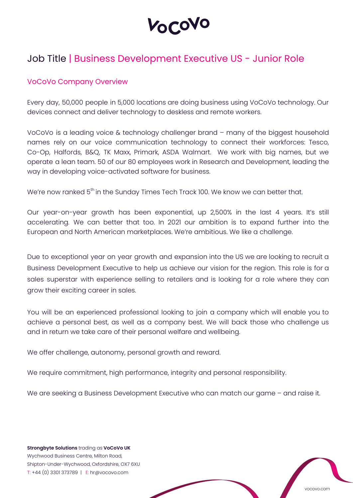**OCOVO** 

# Job Title | Business Development Executive US - Junior Role

#### VoCoVo Company Overview

Every day, 50,000 people in 5,000 locations are doing business using VoCoVo technology. Our devices connect and deliver technology to deskless and remote workers.

VoCoVo is a leading voice & technology challenger brand – many of the biggest household names rely on our voice communication technology to connect their workforces: Tesco, Co-Op, Halfords, B&Q, TK Maxx, Primark, ASDA Walmart. We work with big names, but we operate a lean team. 50 of our 80 employees work in Research and Development, leading the way in developing voice-activated software for business.

We're now ranked 5<sup>th</sup> in the Sunday Times Tech Track 100. We know we can better that.

Our year-on-year growth has been exponential, up 2,500% in the last 4 years. It's still accelerating. We can better that too. In 2021 our ambition is to expand further into the European and North American marketplaces. We're ambitious. We like a challenge.

Due to exceptional year on year growth and expansion into the US we are looking to recruit a Business Development Executive to help us achieve our vision for the region. This role is for a sales superstar with experience selling to retailers and is looking for a role where they can grow their exciting career in sales.

You will be an experienced professional looking to join a company which will enable you to achieve a personal best, as well as a company best. We will back those who challenge us and in return we take care of their personal welfare and wellbeing.

We offer challenge, autonomy, personal growth and reward.

We require commitment, high performance, integrity and personal responsibility.

We are seeking a Business Development Executive who can match our game - and raise it.

**Strongbyte Solutions** trading as **VoCoVo UK** Wychwood Business Centre, Milton Road, Shipton-Under-Wychwood, Oxfordshire, OX7 6XU T: +44 (0) 3301 373789 | E: hr@vocovo.com